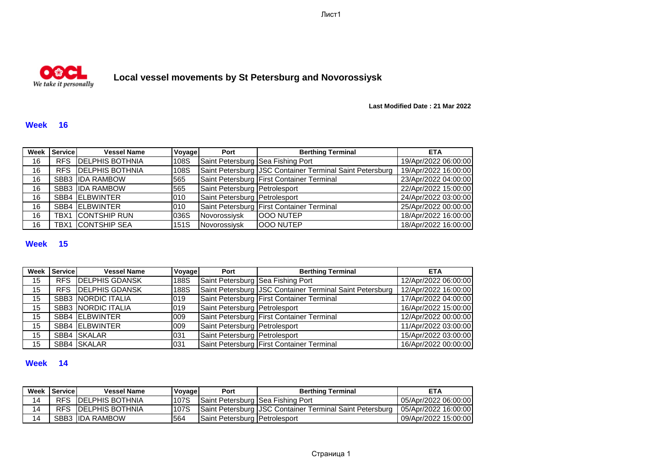Лист1



# **Local vessel movements by St Petersburg and Novorossiysk**

**Last Modified Date : 21 Mar 2022**

#### **Week 16**

|    | Week Service | <b>Vessel Name</b>         | Voyage      | Port                              | <b>Berthing Terminal</b>                                 | <b>ETA</b>           |
|----|--------------|----------------------------|-------------|-----------------------------------|----------------------------------------------------------|----------------------|
| 16 |              | RFS <b>DELPHIS BOTHNIA</b> | 108S        | Saint Petersburg Sea Fishing Port |                                                          | 19/Apr/2022 06:00:00 |
| 16 |              | RFS <b>DELPHIS BOTHNIA</b> | 108S        |                                   | Saint Petersburg JSC Container Terminal Saint Petersburg | 19/Apr/2022 16:00:00 |
| 16 |              | SBB3 IDA RAMBOW            | 565         |                                   | Saint Petersburg First Container Terminal                | 23/Apr/2022 04:00:00 |
| 16 |              | SBB3 IDA RAMBOW            | 565         | Saint Petersburg Petrolesport     |                                                          | 22/Apr/2022 15:00:00 |
| 16 |              | SBB4 ELBWINTER             | 010         | Saint Petersburg Petrolesport     |                                                          | 24/Apr/2022 03:00:00 |
| 16 |              | SBB4 ELBWINTER             | 010         |                                   | Saint Petersburg First Container Terminal                | 25/Apr/2022 00:00:00 |
| 16 |              | <b>TBX1 CONTSHIP RUN</b>   | 036S        | Novorossiysk                      | <b>OOO NUTEP</b>                                         | 18/Apr/2022 16:00:00 |
| 16 |              | <b>TBX1</b> CONTSHIP SEA   | <b>151S</b> | Novorossiysk                      | <b>OOO NUTEP</b>                                         | 18/Apr/2022 16:00:00 |

### **Week 15**

| Week | Service | <b>Vessel Name</b>        | Voyage      | Port                          | <b>Berthing Terminal</b>                                 | <b>ETA</b>           |
|------|---------|---------------------------|-------------|-------------------------------|----------------------------------------------------------|----------------------|
| 15   |         | <b>RFS DELPHIS GDANSK</b> | <b>188S</b> |                               | Saint Petersburg Sea Fishing Port                        | 12/Apr/2022 06:00:00 |
| 15   |         | <b>RFS DELPHIS GDANSK</b> | <b>188S</b> |                               | Saint Petersburg JSC Container Terminal Saint Petersburg | 12/Apr/2022 16:00:00 |
| 15   |         | <b>SBB3 NORDIC ITALIA</b> | 019         |                               | Saint Petersburg First Container Terminal                | 17/Apr/2022 04:00:00 |
| 15   |         | <b>SBB3 NORDIC ITALIA</b> | 019         | Saint Petersburg Petrolesport |                                                          | 16/Apr/2022 15:00:00 |
| 15   |         | SBB4 ELBWINTER            | 009         |                               | Saint Petersburg First Container Terminal                | 12/Apr/2022 00:00:00 |
| 15   |         | SBB4 ELBWINTER            | 009         | Saint Petersburg Petrolesport |                                                          | 11/Apr/2022 03:00:00 |
| 15   |         | SBB4 SKALAR               | 031         | Saint Petersburg Petrolesport |                                                          | 15/Apr/2022 03:00:00 |
| 15   |         | SBB4 SKALAR               | 031         |                               | Saint Petersburg First Container Terminal                | 16/Apr/2022 00:00:00 |

#### **Week 14**

|    | Week Service | <b>Vessel Name</b>      | Voyage | Port                              | <b>Berthing Terminal</b>                                 | <b>ETA</b>           |
|----|--------------|-------------------------|--------|-----------------------------------|----------------------------------------------------------|----------------------|
| 14 | <b>RFS</b>   | <b>IDELPHIS BOTHNIA</b> | 107S   | Saint Petersburg Sea Fishing Port |                                                          | 05/Apr/2022 06:00:00 |
| 14 | <b>RFS</b>   | <b>IDELPHIS BOTHNIA</b> | 107S   |                                   | Saint Petersburg JSC Container Terminal Saint Petersburg | 05/Apr/2022 16:00:00 |
| 14 |              | <b>SBB3 IIDA RAMBOW</b> | 564    | Saint Petersburg Petrolesport     |                                                          | 09/Apr/2022 15:00:00 |